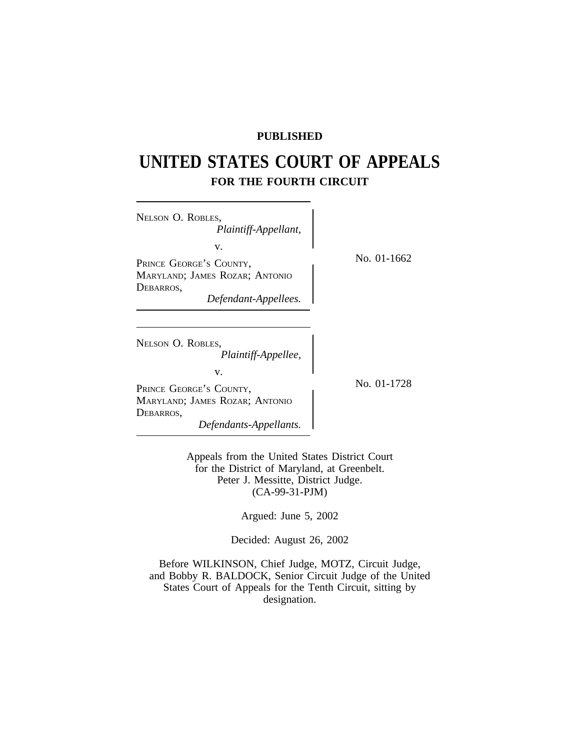# **PUBLISHED**

# **UNITED STATES COURT OF APPEALS FOR THE FOURTH CIRCUIT**

 $\overline{\phantom{a}}$ 

| NELSON O. ROBLES,                                                                                                        |             |
|--------------------------------------------------------------------------------------------------------------------------|-------------|
| Plaintiff-Appellant,                                                                                                     |             |
| v.                                                                                                                       |             |
| PRINCE GEORGE'S COUNTY,                                                                                                  | No. 01-1662 |
| MARYLAND; JAMES ROZAR; ANTONIO                                                                                           |             |
| DEBARROS,                                                                                                                |             |
| Defendant-Appellees.                                                                                                     |             |
| NELSON O. ROBLES,<br>Plaintiff-Appellee,<br>v.<br>PRINCE GEORGE'S COUNTY,<br>MARYLAND; JAMES ROZAR; ANTONIO<br>DEBARROS, | No. 01-1728 |
| Defendants-Appellants.                                                                                                   |             |

Appeals from the United States District Court for the District of Maryland, at Greenbelt. Peter J. Messitte, District Judge. (CA-99-31-PJM)

Argued: June 5, 2002

Decided: August 26, 2002

Before WILKINSON, Chief Judge, MOTZ, Circuit Judge, and Bobby R. BALDOCK, Senior Circuit Judge of the United States Court of Appeals for the Tenth Circuit, sitting by designation.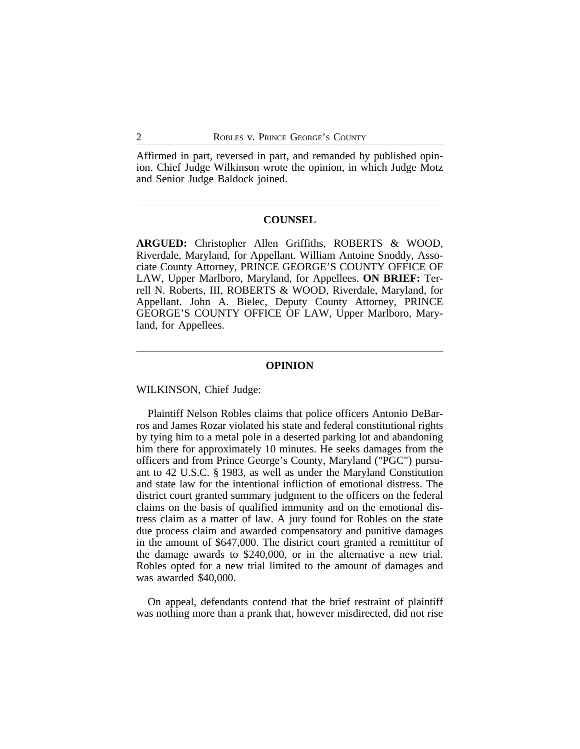Affirmed in part, reversed in part, and remanded by published opinion. Chief Judge Wilkinson wrote the opinion, in which Judge Motz and Senior Judge Baldock joined.

### **COUNSEL**

**ARGUED:** Christopher Allen Griffiths, ROBERTS & WOOD, Riverdale, Maryland, for Appellant. William Antoine Snoddy, Associate County Attorney, PRINCE GEORGE'S COUNTY OFFICE OF LAW, Upper Marlboro, Maryland, for Appellees. **ON BRIEF:** Terrell N. Roberts, III, ROBERTS & WOOD, Riverdale, Maryland, for Appellant. John A. Bielec, Deputy County Attorney, PRINCE GEORGE'S COUNTY OFFICE OF LAW, Upper Marlboro, Maryland, for Appellees.

#### **OPINION**

WILKINSON, Chief Judge:

Plaintiff Nelson Robles claims that police officers Antonio DeBarros and James Rozar violated his state and federal constitutional rights by tying him to a metal pole in a deserted parking lot and abandoning him there for approximately 10 minutes. He seeks damages from the officers and from Prince George's County, Maryland ("PGC") pursuant to 42 U.S.C. § 1983, as well as under the Maryland Constitution and state law for the intentional infliction of emotional distress. The district court granted summary judgment to the officers on the federal claims on the basis of qualified immunity and on the emotional distress claim as a matter of law. A jury found for Robles on the state due process claim and awarded compensatory and punitive damages in the amount of \$647,000. The district court granted a remittitur of the damage awards to \$240,000, or in the alternative a new trial. Robles opted for a new trial limited to the amount of damages and was awarded \$40,000.

On appeal, defendants contend that the brief restraint of plaintiff was nothing more than a prank that, however misdirected, did not rise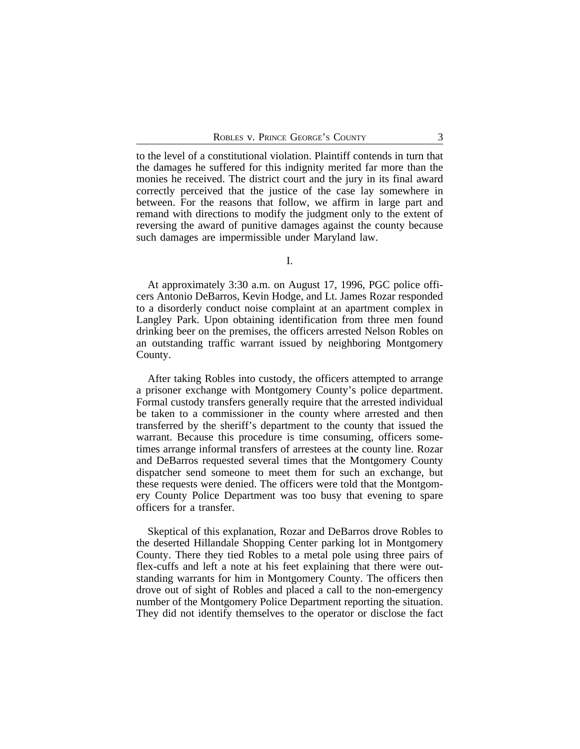to the level of a constitutional violation. Plaintiff contends in turn that the damages he suffered for this indignity merited far more than the monies he received. The district court and the jury in its final award correctly perceived that the justice of the case lay somewhere in between. For the reasons that follow, we affirm in large part and remand with directions to modify the judgment only to the extent of reversing the award of punitive damages against the county because such damages are impermissible under Maryland law.

I.

At approximately 3:30 a.m. on August 17, 1996, PGC police officers Antonio DeBarros, Kevin Hodge, and Lt. James Rozar responded to a disorderly conduct noise complaint at an apartment complex in Langley Park. Upon obtaining identification from three men found drinking beer on the premises, the officers arrested Nelson Robles on an outstanding traffic warrant issued by neighboring Montgomery County.

After taking Robles into custody, the officers attempted to arrange a prisoner exchange with Montgomery County's police department. Formal custody transfers generally require that the arrested individual be taken to a commissioner in the county where arrested and then transferred by the sheriff's department to the county that issued the warrant. Because this procedure is time consuming, officers sometimes arrange informal transfers of arrestees at the county line. Rozar and DeBarros requested several times that the Montgomery County dispatcher send someone to meet them for such an exchange, but these requests were denied. The officers were told that the Montgomery County Police Department was too busy that evening to spare officers for a transfer.

Skeptical of this explanation, Rozar and DeBarros drove Robles to the deserted Hillandale Shopping Center parking lot in Montgomery County. There they tied Robles to a metal pole using three pairs of flex-cuffs and left a note at his feet explaining that there were outstanding warrants for him in Montgomery County. The officers then drove out of sight of Robles and placed a call to the non-emergency number of the Montgomery Police Department reporting the situation. They did not identify themselves to the operator or disclose the fact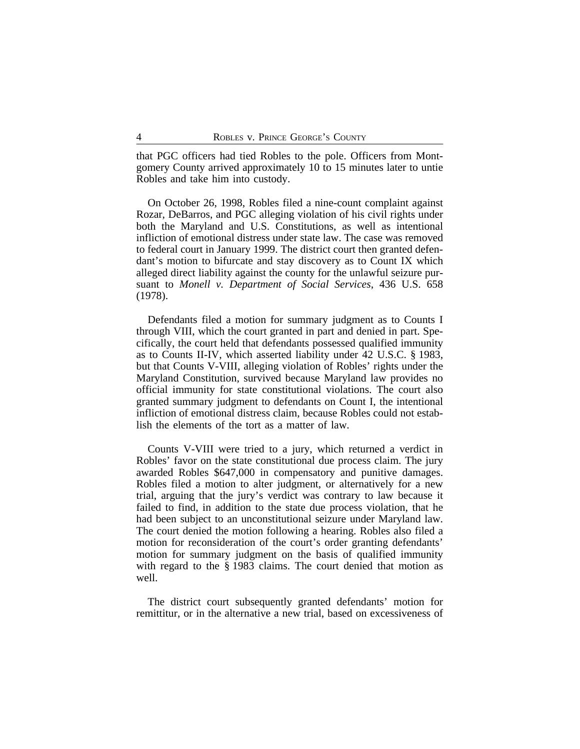that PGC officers had tied Robles to the pole. Officers from Montgomery County arrived approximately 10 to 15 minutes later to untie Robles and take him into custody.

On October 26, 1998, Robles filed a nine-count complaint against Rozar, DeBarros, and PGC alleging violation of his civil rights under both the Maryland and U.S. Constitutions, as well as intentional infliction of emotional distress under state law. The case was removed to federal court in January 1999. The district court then granted defendant's motion to bifurcate and stay discovery as to Count IX which alleged direct liability against the county for the unlawful seizure pursuant to *Monell v. Department of Social Services*, 436 U.S. 658 (1978).

Defendants filed a motion for summary judgment as to Counts I through VIII, which the court granted in part and denied in part. Specifically, the court held that defendants possessed qualified immunity as to Counts II-IV, which asserted liability under 42 U.S.C. § 1983, but that Counts V-VIII, alleging violation of Robles' rights under the Maryland Constitution, survived because Maryland law provides no official immunity for state constitutional violations. The court also granted summary judgment to defendants on Count I, the intentional infliction of emotional distress claim, because Robles could not establish the elements of the tort as a matter of law.

Counts V-VIII were tried to a jury, which returned a verdict in Robles' favor on the state constitutional due process claim. The jury awarded Robles \$647,000 in compensatory and punitive damages. Robles filed a motion to alter judgment, or alternatively for a new trial, arguing that the jury's verdict was contrary to law because it failed to find, in addition to the state due process violation, that he had been subject to an unconstitutional seizure under Maryland law. The court denied the motion following a hearing. Robles also filed a motion for reconsideration of the court's order granting defendants' motion for summary judgment on the basis of qualified immunity with regard to the § 1983 claims. The court denied that motion as well.

The district court subsequently granted defendants' motion for remittitur, or in the alternative a new trial, based on excessiveness of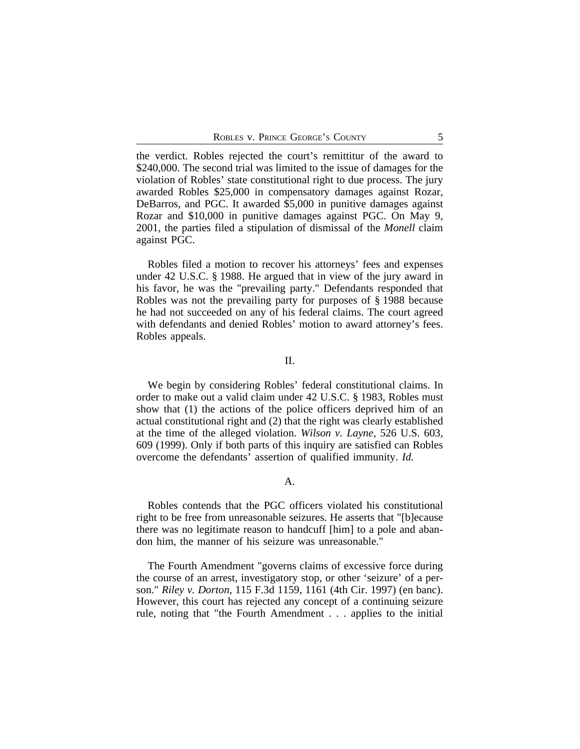the verdict. Robles rejected the court's remittitur of the award to \$240,000. The second trial was limited to the issue of damages for the violation of Robles' state constitutional right to due process. The jury awarded Robles \$25,000 in compensatory damages against Rozar, DeBarros, and PGC. It awarded \$5,000 in punitive damages against Rozar and \$10,000 in punitive damages against PGC. On May 9, 2001, the parties filed a stipulation of dismissal of the *Monell* claim against PGC.

Robles filed a motion to recover his attorneys' fees and expenses under 42 U.S.C. § 1988. He argued that in view of the jury award in his favor, he was the "prevailing party." Defendants responded that Robles was not the prevailing party for purposes of § 1988 because he had not succeeded on any of his federal claims. The court agreed with defendants and denied Robles' motion to award attorney's fees. Robles appeals.

## II.

We begin by considering Robles' federal constitutional claims. In order to make out a valid claim under 42 U.S.C. § 1983, Robles must show that (1) the actions of the police officers deprived him of an actual constitutional right and (2) that the right was clearly established at the time of the alleged violation. *Wilson v. Layne*, 526 U.S. 603, 609 (1999). Only if both parts of this inquiry are satisfied can Robles overcome the defendants' assertion of qualified immunity. *Id.*

## A.

Robles contends that the PGC officers violated his constitutional right to be free from unreasonable seizures. He asserts that "[b]ecause there was no legitimate reason to handcuff [him] to a pole and abandon him, the manner of his seizure was unreasonable."

The Fourth Amendment "governs claims of excessive force during the course of an arrest, investigatory stop, or other 'seizure' of a person." *Riley v. Dorton*, 115 F.3d 1159, 1161 (4th Cir. 1997) (en banc). However, this court has rejected any concept of a continuing seizure rule, noting that "the Fourth Amendment . . . applies to the initial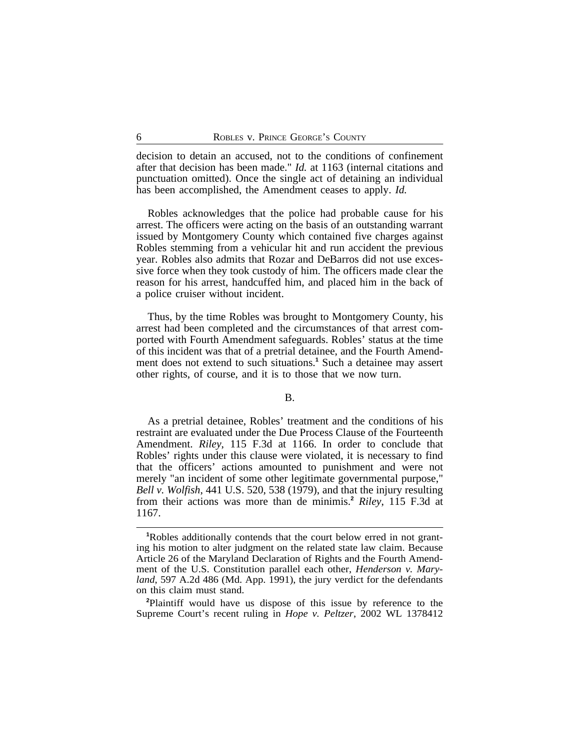decision to detain an accused, not to the conditions of confinement after that decision has been made." *Id.* at 1163 (internal citations and punctuation omitted). Once the single act of detaining an individual has been accomplished, the Amendment ceases to apply. *Id.*

Robles acknowledges that the police had probable cause for his arrest. The officers were acting on the basis of an outstanding warrant issued by Montgomery County which contained five charges against Robles stemming from a vehicular hit and run accident the previous year. Robles also admits that Rozar and DeBarros did not use excessive force when they took custody of him. The officers made clear the reason for his arrest, handcuffed him, and placed him in the back of a police cruiser without incident.

Thus, by the time Robles was brought to Montgomery County, his arrest had been completed and the circumstances of that arrest comported with Fourth Amendment safeguards. Robles' status at the time of this incident was that of a pretrial detainee, and the Fourth Amendment does not extend to such situations.**<sup>1</sup>** Such a detainee may assert other rights, of course, and it is to those that we now turn.

## B.

As a pretrial detainee, Robles' treatment and the conditions of his restraint are evaluated under the Due Process Clause of the Fourteenth Amendment. *Riley*, 115 F.3d at 1166. In order to conclude that Robles' rights under this clause were violated, it is necessary to find that the officers' actions amounted to punishment and were not merely "an incident of some other legitimate governmental purpose," *Bell v. Wolfish*, 441 U.S. 520, 538 (1979), and that the injury resulting from their actions was more than de minimis.**<sup>2</sup>** *Riley*, 115 F.3d at 1167.

**<sup>2</sup>**Plaintiff would have us dispose of this issue by reference to the Supreme Court's recent ruling in *Hope v. Peltzer*, 2002 WL 1378412

**<sup>1</sup>**Robles additionally contends that the court below erred in not granting his motion to alter judgment on the related state law claim. Because Article 26 of the Maryland Declaration of Rights and the Fourth Amendment of the U.S. Constitution parallel each other, *Henderson v. Maryland*, 597 A.2d 486 (Md. App. 1991), the jury verdict for the defendants on this claim must stand.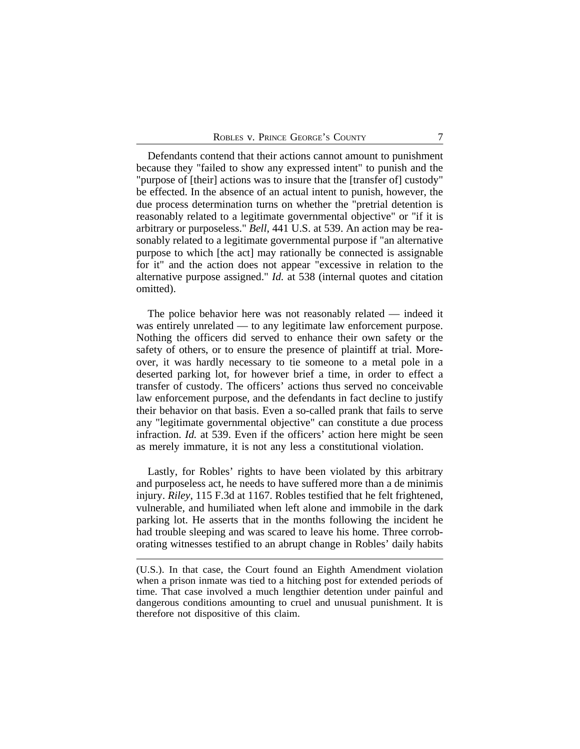Defendants contend that their actions cannot amount to punishment because they "failed to show any expressed intent" to punish and the "purpose of [their] actions was to insure that the [transfer of] custody" be effected. In the absence of an actual intent to punish, however, the due process determination turns on whether the "pretrial detention is reasonably related to a legitimate governmental objective" or "if it is arbitrary or purposeless." *Bell*, 441 U.S. at 539. An action may be reasonably related to a legitimate governmental purpose if "an alternative purpose to which [the act] may rationally be connected is assignable for it" and the action does not appear "excessive in relation to the alternative purpose assigned." *Id.* at 538 (internal quotes and citation omitted).

The police behavior here was not reasonably related — indeed it was entirely unrelated — to any legitimate law enforcement purpose. Nothing the officers did served to enhance their own safety or the safety of others, or to ensure the presence of plaintiff at trial. Moreover, it was hardly necessary to tie someone to a metal pole in a deserted parking lot, for however brief a time, in order to effect a transfer of custody. The officers' actions thus served no conceivable law enforcement purpose, and the defendants in fact decline to justify their behavior on that basis. Even a so-called prank that fails to serve any "legitimate governmental objective" can constitute a due process infraction. *Id.* at 539. Even if the officers' action here might be seen as merely immature, it is not any less a constitutional violation.

Lastly, for Robles' rights to have been violated by this arbitrary and purposeless act, he needs to have suffered more than a de minimis injury. *Riley*, 115 F.3d at 1167. Robles testified that he felt frightened, vulnerable, and humiliated when left alone and immobile in the dark parking lot. He asserts that in the months following the incident he had trouble sleeping and was scared to leave his home. Three corroborating witnesses testified to an abrupt change in Robles' daily habits

<sup>(</sup>U.S.). In that case, the Court found an Eighth Amendment violation when a prison inmate was tied to a hitching post for extended periods of time. That case involved a much lengthier detention under painful and dangerous conditions amounting to cruel and unusual punishment. It is therefore not dispositive of this claim.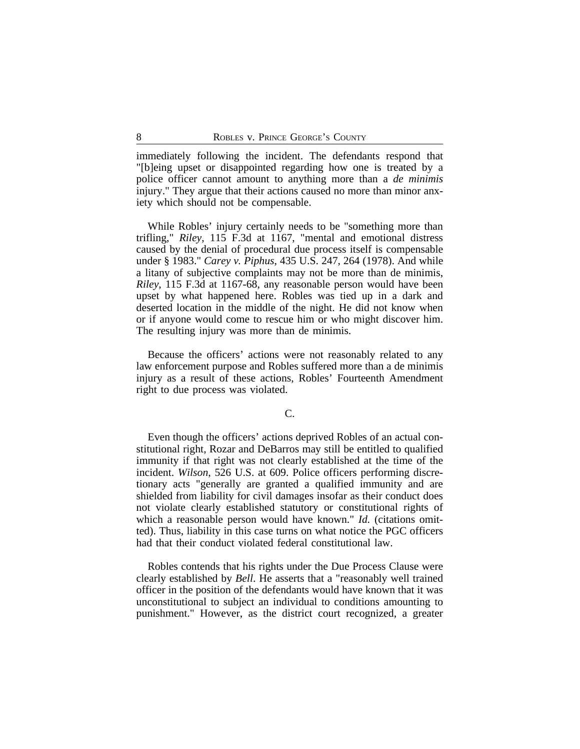immediately following the incident. The defendants respond that "[b]eing upset or disappointed regarding how one is treated by a police officer cannot amount to anything more than a *de minimis* injury." They argue that their actions caused no more than minor anxiety which should not be compensable.

While Robles' injury certainly needs to be "something more than trifling," *Riley*, 115 F.3d at 1167, "mental and emotional distress caused by the denial of procedural due process itself is compensable under § 1983." *Carey v. Piphus*, 435 U.S. 247, 264 (1978). And while a litany of subjective complaints may not be more than de minimis, *Riley*, 115 F.3d at 1167-68, any reasonable person would have been upset by what happened here. Robles was tied up in a dark and deserted location in the middle of the night. He did not know when or if anyone would come to rescue him or who might discover him. The resulting injury was more than de minimis.

Because the officers' actions were not reasonably related to any law enforcement purpose and Robles suffered more than a de minimis injury as a result of these actions, Robles' Fourteenth Amendment right to due process was violated.

## C.

Even though the officers' actions deprived Robles of an actual constitutional right, Rozar and DeBarros may still be entitled to qualified immunity if that right was not clearly established at the time of the incident. *Wilson*, 526 U.S. at 609. Police officers performing discretionary acts "generally are granted a qualified immunity and are shielded from liability for civil damages insofar as their conduct does not violate clearly established statutory or constitutional rights of which a reasonable person would have known." *Id.* (citations omitted). Thus, liability in this case turns on what notice the PGC officers had that their conduct violated federal constitutional law.

Robles contends that his rights under the Due Process Clause were clearly established by *Bell*. He asserts that a "reasonably well trained officer in the position of the defendants would have known that it was unconstitutional to subject an individual to conditions amounting to punishment." However, as the district court recognized, a greater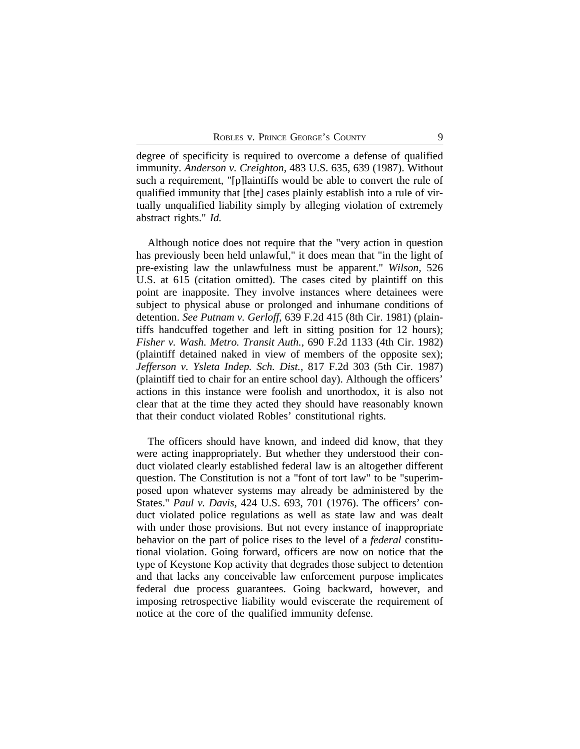degree of specificity is required to overcome a defense of qualified immunity. *Anderson v. Creighton*, 483 U.S. 635, 639 (1987). Without such a requirement, "[p]laintiffs would be able to convert the rule of qualified immunity that [the] cases plainly establish into a rule of virtually unqualified liability simply by alleging violation of extremely abstract rights." *Id.*

Although notice does not require that the "very action in question has previously been held unlawful," it does mean that "in the light of pre-existing law the unlawfulness must be apparent." *Wilson*, 526 U.S. at 615 (citation omitted). The cases cited by plaintiff on this point are inapposite. They involve instances where detainees were subject to physical abuse or prolonged and inhumane conditions of detention. *See Putnam v. Gerloff*, 639 F.2d 415 (8th Cir. 1981) (plaintiffs handcuffed together and left in sitting position for 12 hours); *Fisher v. Wash. Metro. Transit Auth.*, 690 F.2d 1133 (4th Cir. 1982) (plaintiff detained naked in view of members of the opposite sex); *Jefferson v. Ysleta Indep. Sch. Dist.*, 817 F.2d 303 (5th Cir. 1987) (plaintiff tied to chair for an entire school day). Although the officers' actions in this instance were foolish and unorthodox, it is also not clear that at the time they acted they should have reasonably known that their conduct violated Robles' constitutional rights.

The officers should have known, and indeed did know, that they were acting inappropriately. But whether they understood their conduct violated clearly established federal law is an altogether different question. The Constitution is not a "font of tort law" to be "superimposed upon whatever systems may already be administered by the States." *Paul v. Davis*, 424 U.S. 693, 701 (1976). The officers' conduct violated police regulations as well as state law and was dealt with under those provisions. But not every instance of inappropriate behavior on the part of police rises to the level of a *federal* constitutional violation. Going forward, officers are now on notice that the type of Keystone Kop activity that degrades those subject to detention and that lacks any conceivable law enforcement purpose implicates federal due process guarantees. Going backward, however, and imposing retrospective liability would eviscerate the requirement of notice at the core of the qualified immunity defense.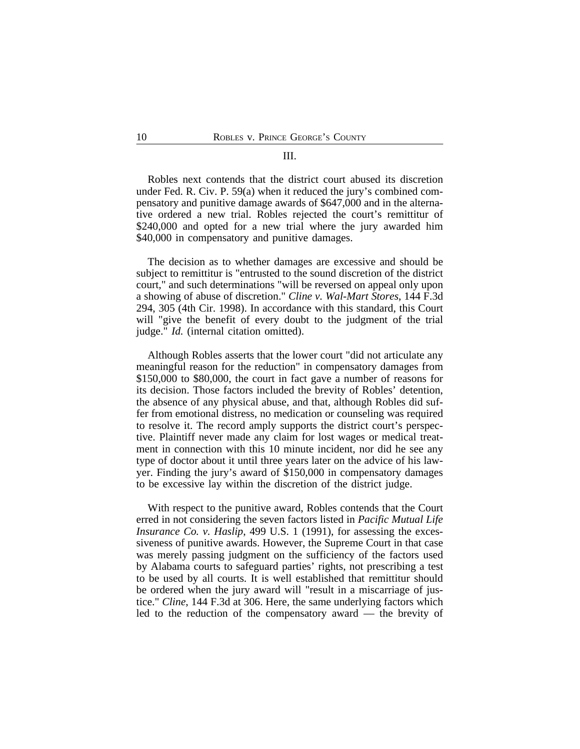## III.

Robles next contends that the district court abused its discretion under Fed. R. Civ. P. 59(a) when it reduced the jury's combined compensatory and punitive damage awards of \$647,000 and in the alternative ordered a new trial. Robles rejected the court's remittitur of \$240,000 and opted for a new trial where the jury awarded him \$40,000 in compensatory and punitive damages.

The decision as to whether damages are excessive and should be subject to remittitur is "entrusted to the sound discretion of the district court," and such determinations "will be reversed on appeal only upon a showing of abuse of discretion." *Cline v. Wal-Mart Stores*, 144 F.3d 294, 305 (4th Cir. 1998). In accordance with this standard, this Court will "give the benefit of every doubt to the judgment of the trial judge." *Id.* (internal citation omitted).

Although Robles asserts that the lower court "did not articulate any meaningful reason for the reduction" in compensatory damages from \$150,000 to \$80,000, the court in fact gave a number of reasons for its decision. Those factors included the brevity of Robles' detention, the absence of any physical abuse, and that, although Robles did suffer from emotional distress, no medication or counseling was required to resolve it. The record amply supports the district court's perspective. Plaintiff never made any claim for lost wages or medical treatment in connection with this 10 minute incident, nor did he see any type of doctor about it until three years later on the advice of his lawyer. Finding the jury's award of \$150,000 in compensatory damages to be excessive lay within the discretion of the district judge.

With respect to the punitive award, Robles contends that the Court erred in not considering the seven factors listed in *Pacific Mutual Life Insurance Co. v. Haslip*, 499 U.S. 1 (1991), for assessing the excessiveness of punitive awards. However, the Supreme Court in that case was merely passing judgment on the sufficiency of the factors used by Alabama courts to safeguard parties' rights, not prescribing a test to be used by all courts. It is well established that remittitur should be ordered when the jury award will "result in a miscarriage of justice." *Cline*, 144 F.3d at 306. Here, the same underlying factors which led to the reduction of the compensatory award — the brevity of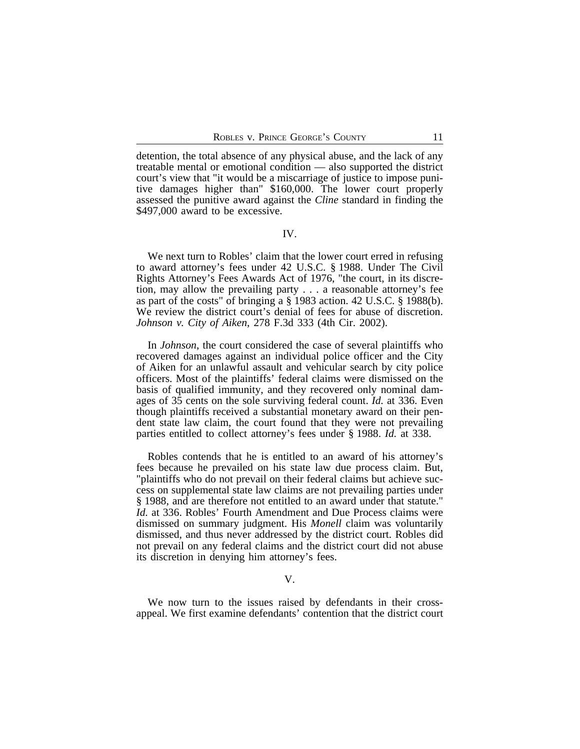detention, the total absence of any physical abuse, and the lack of any treatable mental or emotional condition — also supported the district court's view that "it would be a miscarriage of justice to impose punitive damages higher than" \$160,000. The lower court properly assessed the punitive award against the *Cline* standard in finding the \$497,000 award to be excessive.

## IV.

We next turn to Robles' claim that the lower court erred in refusing to award attorney's fees under 42 U.S.C. § 1988. Under The Civil Rights Attorney's Fees Awards Act of 1976, "the court, in its discretion, may allow the prevailing party . . . a reasonable attorney's fee as part of the costs" of bringing a § 1983 action. 42 U.S.C. § 1988(b). We review the district court's denial of fees for abuse of discretion. *Johnson v. City of Aiken*, 278 F.3d 333 (4th Cir. 2002).

In *Johnson*, the court considered the case of several plaintiffs who recovered damages against an individual police officer and the City of Aiken for an unlawful assault and vehicular search by city police officers. Most of the plaintiffs' federal claims were dismissed on the basis of qualified immunity, and they recovered only nominal damages of 35 cents on the sole surviving federal count. *Id.* at 336. Even though plaintiffs received a substantial monetary award on their pendent state law claim, the court found that they were not prevailing parties entitled to collect attorney's fees under § 1988. *Id.* at 338.

Robles contends that he is entitled to an award of his attorney's fees because he prevailed on his state law due process claim. But, "plaintiffs who do not prevail on their federal claims but achieve success on supplemental state law claims are not prevailing parties under § 1988, and are therefore not entitled to an award under that statute." *Id.* at 336. Robles' Fourth Amendment and Due Process claims were dismissed on summary judgment. His *Monell* claim was voluntarily dismissed, and thus never addressed by the district court. Robles did not prevail on any federal claims and the district court did not abuse its discretion in denying him attorney's fees.

V.

We now turn to the issues raised by defendants in their crossappeal. We first examine defendants' contention that the district court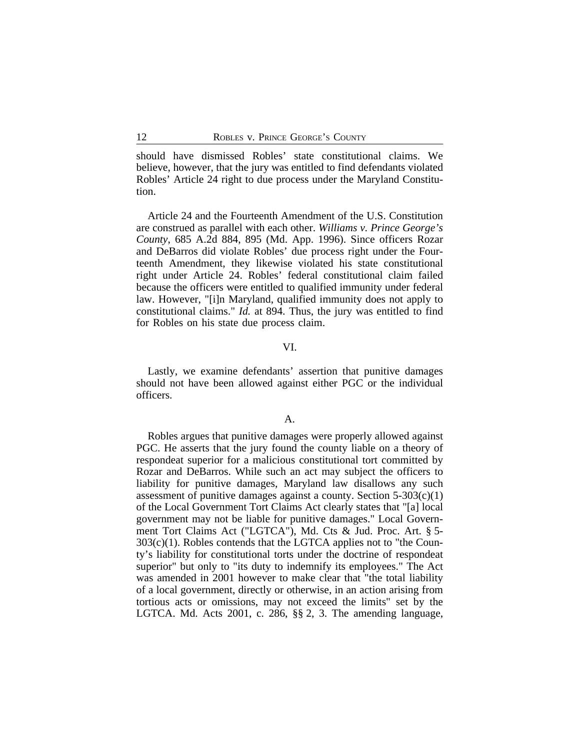should have dismissed Robles' state constitutional claims. We believe, however, that the jury was entitled to find defendants violated Robles' Article 24 right to due process under the Maryland Constitution.

Article 24 and the Fourteenth Amendment of the U.S. Constitution are construed as parallel with each other. *Williams v. Prince George's County*, 685 A.2d 884, 895 (Md. App. 1996). Since officers Rozar and DeBarros did violate Robles' due process right under the Fourteenth Amendment, they likewise violated his state constitutional right under Article 24. Robles' federal constitutional claim failed because the officers were entitled to qualified immunity under federal law. However, "[i]n Maryland, qualified immunity does not apply to constitutional claims." *Id.* at 894. Thus, the jury was entitled to find for Robles on his state due process claim.

#### VI.

Lastly, we examine defendants' assertion that punitive damages should not have been allowed against either PGC or the individual officers.

#### A.

Robles argues that punitive damages were properly allowed against PGC. He asserts that the jury found the county liable on a theory of respondeat superior for a malicious constitutional tort committed by Rozar and DeBarros. While such an act may subject the officers to liability for punitive damages, Maryland law disallows any such assessment of punitive damages against a county. Section  $5-303(c)(1)$ of the Local Government Tort Claims Act clearly states that "[a] local government may not be liable for punitive damages." Local Government Tort Claims Act ("LGTCA"), Md. Cts & Jud. Proc. Art. § 5- 303(c)(1). Robles contends that the LGTCA applies not to "the County's liability for constitutional torts under the doctrine of respondeat superior" but only to "its duty to indemnify its employees." The Act was amended in 2001 however to make clear that "the total liability of a local government, directly or otherwise, in an action arising from tortious acts or omissions, may not exceed the limits" set by the LGTCA. Md. Acts 2001, c. 286, §§ 2, 3. The amending language,